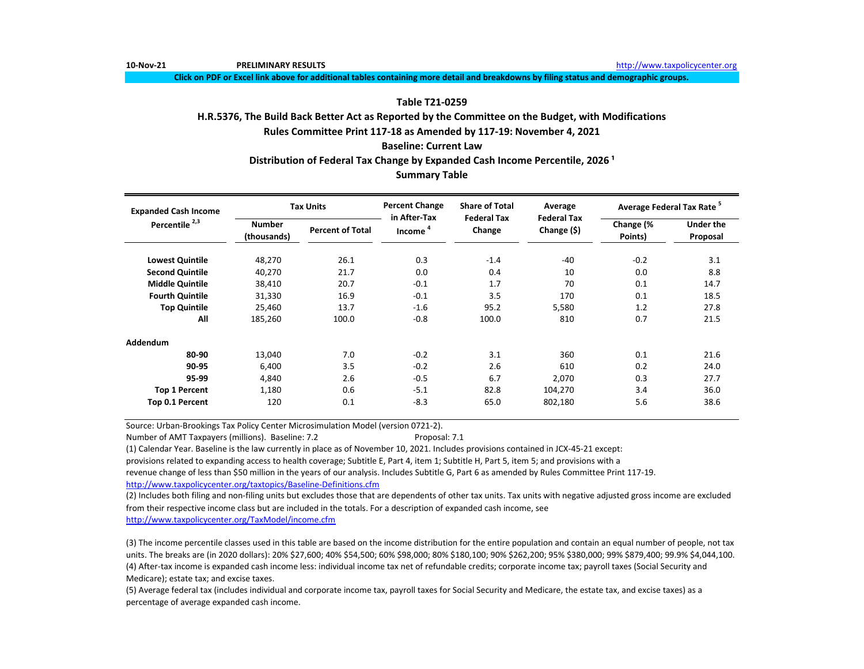**10-Nov-21 PRELIMINARY RESULTS** [http://www.t](http://www.taxpolicycenter.org/)axpolicycenter.org

**Click on PDF or Excel link above for additional tables containing more detail and breakdowns by filing status and demographic groups.**

## **Table T21-0259**

# **H.R.5376, The Build Back Better Act as Reported by the Committee on the Budget, with Modifications**

**Rules Committee Print 117-18 as Amended by 117-19: November 4, 2021**

## **Baseline: Current Law**

# Distribution of Federal Tax Change by Expanded Cash Income Percentile, 2026<sup>1</sup>

# **Summary Table**

| <b>Expanded Cash Income</b> |                              | <b>Tax Units</b>        | <b>Percent Change</b><br>in After-Tax | <b>Share of Total</b><br><b>Federal Tax</b> | Average<br><b>Federal Tax</b> | Average Federal Tax Rate <sup>5</sup> |                              |
|-----------------------------|------------------------------|-------------------------|---------------------------------------|---------------------------------------------|-------------------------------|---------------------------------------|------------------------------|
| Percentile <sup>2,3</sup>   | <b>Number</b><br>(thousands) | <b>Percent of Total</b> | Income <sup>4</sup>                   | Change                                      | Change (\$)                   | Change (%<br>Points)                  | <b>Under the</b><br>Proposal |
| <b>Lowest Quintile</b>      | 48,270                       | 26.1                    | 0.3                                   | $-1.4$                                      | $-40$                         | $-0.2$                                | 3.1                          |
| <b>Second Quintile</b>      | 40,270                       | 21.7                    | 0.0                                   | 0.4                                         | 10                            | 0.0                                   | 8.8                          |
| <b>Middle Quintile</b>      | 38,410                       | 20.7                    | $-0.1$                                | 1.7                                         | 70                            | 0.1                                   | 14.7                         |
| <b>Fourth Quintile</b>      | 31,330                       | 16.9                    | $-0.1$                                | 3.5                                         | 170                           | 0.1                                   | 18.5                         |
| <b>Top Quintile</b>         | 25,460                       | 13.7                    | $-1.6$                                | 95.2                                        | 5,580                         | 1.2                                   | 27.8                         |
| All                         | 185,260                      | 100.0                   | $-0.8$                                | 100.0                                       | 810                           | 0.7                                   | 21.5                         |
| Addendum                    |                              |                         |                                       |                                             |                               |                                       |                              |
| 80-90                       | 13.040                       | 7.0                     | $-0.2$                                | 3.1                                         | 360                           | 0.1                                   | 21.6                         |
| 90-95                       | 6,400                        | 3.5                     | $-0.2$                                | 2.6                                         | 610                           | 0.2                                   | 24.0                         |
| 95-99                       | 4,840                        | 2.6                     | $-0.5$                                | 6.7                                         | 2,070                         | 0.3                                   | 27.7                         |
| <b>Top 1 Percent</b>        | 1,180                        | 0.6                     | $-5.1$                                | 82.8                                        | 104,270                       | 3.4                                   | 36.0                         |
| Top 0.1 Percent             | 120                          | 0.1                     | $-8.3$                                | 65.0                                        | 802,180                       | 5.6                                   | 38.6                         |

Source: Urban-Brookings Tax Policy Center Microsimulation Model (version 0721-2).

Number of AMT Taxpayers (millions). Baseline: 7.2 Proposal: 7.1

(1) Calendar Year. Baseline is the law currently in place as of November 10, 2021. Includes provisions contained in JCX-45-21 except:

provisions related to expanding access to health coverage; Subtitle E, Part 4, item 1; Subtitle H, Part 5, item 5; and provisions with a

revenue change of less than \$50 million in the years of our analysis. Includes Subtitle G, Part 6 as amended by Rules Committee Print 117-19. [http://www.taxpolicycente](http://www.taxpolicycenter.org/taxtopics/Baseline-Definitions.cfm)r.org/taxtopics/Baseline-Definitions.cfm

(2) Includes both filing and non-filing units but excludes those that are dependents of other tax units. Tax units with negative adjusted gross income are excluded from their respective income class but are included in the totals. For a description of expanded cash income, see

[http://www.taxpolicycente](http://www.taxpolicycenter.org/TaxModel/income.cfm)r.org/TaxModel/income.cfm

(3) The income percentile classes used in this table are based on the income distribution for the entire population and contain an equal number of people, not tax units. The breaks are (in 2020 dollars): 20% \$27,600; 40% \$54,500; 60% \$98,000; 80% \$180,100; 90% \$262,200; 95% \$380,000; 99% \$879,400; 99.9% \$4,044,100. (4) After-tax income is expanded cash income less: individual income tax net of refundable credits; corporate income tax; payroll taxes (Social Security and Medicare); estate tax; and excise taxes.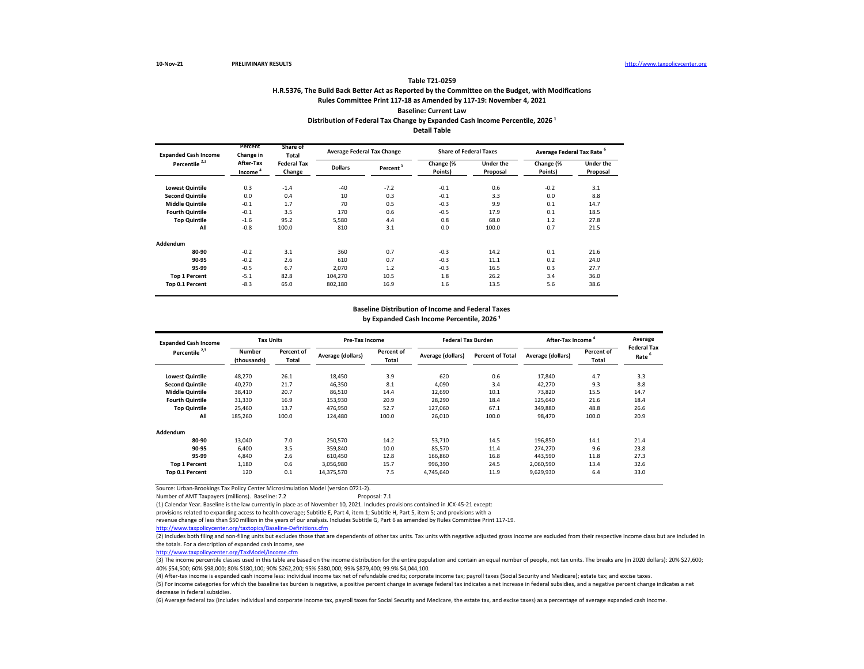## **H.R.5376, The Build Back Better Act as Reported by the Committee on the Budget, with Modifications Rules Committee Print 117-18 as Amended by 117-19: November 4, 2021 Baseline: Current Law Table T21-0259 Distribution of Federal Tax Change by Expanded Cash Income Percentile, 2026<sup>1</sup> Detail Table**

| <b>Expanded Cash Income</b> | Percent<br>Change in             | Share of<br>Total            |                | <b>Average Federal Tax Change</b> | <b>Share of Federal Taxes</b> |                       | Average Federal Tax Rate <sup>6</sup> |                              |
|-----------------------------|----------------------------------|------------------------------|----------------|-----------------------------------|-------------------------------|-----------------------|---------------------------------------|------------------------------|
| Percentile <sup>2,3</sup>   | After-Tax<br>Income <sup>4</sup> | <b>Federal Tax</b><br>Change | <b>Dollars</b> | Percent <sup>5</sup>              | Change (%<br>Points)          | Under the<br>Proposal | Change (%<br>Points)                  | <b>Under the</b><br>Proposal |
| <b>Lowest Quintile</b>      | 0.3                              | $-1.4$                       | $-40$          | $-7.2$                            | $-0.1$                        | 0.6                   | $-0.2$                                | 3.1                          |
| <b>Second Quintile</b>      | 0.0                              | 0.4                          | 10             | 0.3                               | $-0.1$                        | 3.3                   | 0.0                                   | 8.8                          |
| <b>Middle Quintile</b>      | $-0.1$                           | 1.7                          | 70             | 0.5                               | $-0.3$                        | 9.9                   | 0.1                                   | 14.7                         |
| <b>Fourth Quintile</b>      | $-0.1$                           | 3.5                          | 170            | 0.6                               | $-0.5$                        | 17.9                  | 0.1                                   | 18.5                         |
| <b>Top Quintile</b>         | $-1.6$                           | 95.2                         | 5.580          | 4.4                               | 0.8                           | 68.0                  | 1.2                                   | 27.8                         |
| All                         | $-0.8$                           | 100.0                        | 810            | 3.1                               | 0.0                           | 100.0                 | 0.7                                   | 21.5                         |
| Addendum                    |                                  |                              |                |                                   |                               |                       |                                       |                              |
| 80-90                       | $-0.2$                           | 3.1                          | 360            | 0.7                               | $-0.3$                        | 14.2                  | 0.1                                   | 21.6                         |
| 90-95                       | $-0.2$                           | 2.6                          | 610            | 0.7                               | $-0.3$                        | 11.1                  | 0.2                                   | 24.0                         |
| 95-99                       | $-0.5$                           | 6.7                          | 2,070          | 1.2                               | $-0.3$                        | 16.5                  | 0.3                                   | 27.7                         |
| <b>Top 1 Percent</b>        | $-5.1$                           | 82.8                         | 104,270        | 10.5                              | 1.8                           | 26.2                  | 3.4                                   | 36.0                         |
| Top 0.1 Percent             | $-8.3$                           | 65.0                         | 802,180        | 16.9                              | 1.6                           | 13.5                  | 5.6                                   | 38.6                         |

## **Baseline Distribution of Income and Federal Taxes** by Expanded Cash Income Percentile, 2026<sup>1</sup>

| <b>Expanded Cash Income</b> | <b>Tax Units</b>             |                     | Pre-Tax Income    |                     | <b>Federal Tax Burden</b> |                         | After-Tax Income  |                     | Average                    |
|-----------------------------|------------------------------|---------------------|-------------------|---------------------|---------------------------|-------------------------|-------------------|---------------------|----------------------------|
| Percentile <sup>2,3</sup>   | <b>Number</b><br>(thousands) | Percent of<br>Total | Average (dollars) | Percent of<br>Total | Average (dollars)         | <b>Percent of Total</b> | Average (dollars) | Percent of<br>Total | <b>Federal Tax</b><br>Rate |
| <b>Lowest Quintile</b>      | 48,270                       | 26.1                | 18,450            | 3.9                 | 620                       | 0.6                     | 17,840            | 4.7                 | 3.3                        |
| <b>Second Quintile</b>      | 40.270                       | 21.7                | 46.350            | 8.1                 | 4.090                     | 3.4                     | 42.270            | 9.3                 | 8.8                        |
| <b>Middle Quintile</b>      | 38,410                       | 20.7                | 86,510            | 14.4                | 12,690                    | 10.1                    | 73,820            | 15.5                | 14.7                       |
| <b>Fourth Quintile</b>      | 31,330                       | 16.9                | 153.930           | 20.9                | 28.290                    | 18.4                    | 125.640           | 21.6                | 18.4                       |
| <b>Top Quintile</b>         | 25,460                       | 13.7                | 476,950           | 52.7                | 127,060                   | 67.1                    | 349,880           | 48.8                | 26.6                       |
| All                         | 185,260                      | 100.0               | 124,480           | 100.0               | 26,010                    | 100.0                   | 98,470            | 100.0               | 20.9                       |
| Addendum                    |                              |                     |                   |                     |                           |                         |                   |                     |                            |
| 80-90                       | 13.040                       | 7.0                 | 250,570           | 14.2                | 53,710                    | 14.5                    | 196,850           | 14.1                | 21.4                       |
| 90-95                       | 6.400                        | 3.5                 | 359.840           | 10.0                | 85,570                    | 11.4                    | 274,270           | 9.6                 | 23.8                       |
| 95-99                       | 4.840                        | 2.6                 | 610.450           | 12.8                | 166,860                   | 16.8                    | 443,590           | 11.8                | 27.3                       |
| <b>Top 1 Percent</b>        | 1.180                        | 0.6                 | 3,056,980         | 15.7                | 996.390                   | 24.5                    | 2,060,590         | 13.4                | 32.6                       |
| Top 0.1 Percent             | 120                          | 0.1                 | 14,375,570        | 7.5                 | 4,745,640                 | 11.9                    | 9,629,930         | 6.4                 | 33.0                       |

Source: Urban-Brookings Tax Policy Center Microsimulation Model (version 0721-2).

Number of AMT Taxpayers (millions). Baseline: 7.2 Proposal: 7.1

(1) Calendar Year. Baseline is the law currently in place as of November 10, 2021. Includes provisions contained in JCX-45-21 except:

provisions related to expanding access to health coverage; Subtitle E, Part 4, item 1; Subtitle H, Part 5, item 5; and provisions with a

revenue change of less than \$50 million in the years of our analysis. Includes Subtitle G, Part 6 as amended by Rules Committee Print 117-19.

<http://www.taxpolicycenter.org/taxtopics/Baseline-Definitions.cfm>

(2) Includes both filing and non-filing units but excludes those that are dependents of other tax units. Tax units with negative adjusted gross income are excluded from their respective income class but are included in the totals. For a description of expanded cash income, see

[http://www.taxpolicycente](http://www.taxpolicycenter.org/TaxModel/income.cfm)r.org/TaxModel/income.cfm

(3) The income percentile classes used in this table are based on the income distribution for the entire population and contain an equal number of people, not tax units. The breaks are (in 2020 dollars): 20% \$27,600; 40% \$54,500; 60% \$98,000; 80% \$180,100; 90% \$262,200; 95% \$380,000; 99% \$879,400; 99.9% \$4,044,100.

(4) After-tax income is expanded cash income less: individual income tax net of refundable credits; corporate income tax; payroll taxes (Social Security and Medicare); estate tax; and excise taxes.

(5) For income categories for which the baseline tax burden is negative, a positive percent change in average federal tax indicates a net increase in federal subsidies, and a negative percent change indicates a net decrease in federal subsidies.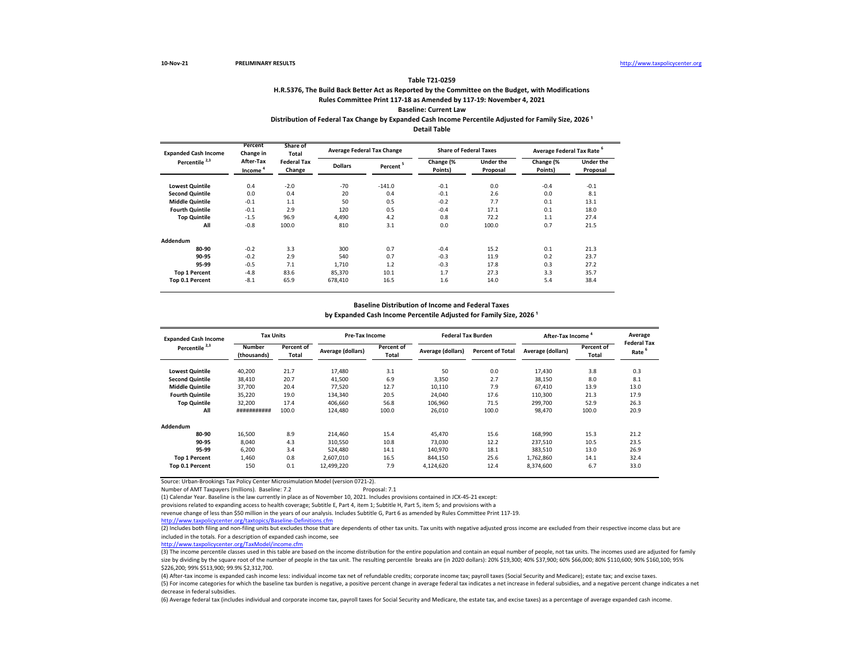## **H.R.5376, The Build Back Better Act as Reported by the Committee on the Budget, with Modifications Rules Committee Print 117-18 as Amended by 117-19: November 4, 2021 Baseline: Current Law**

### Distribution of Federal Tax Change by Expanded Cash Income Percentile Adjusted for Family Size, 2026<sup>1</sup>

**Detail Table**

| <b>Expanded Cash Income</b> | Percent<br>Change in | Share of<br>Total            | <b>Average Federal Tax Change</b> |                      | <b>Share of Federal Taxes</b> |                       | Average Federal Tax Rate <sup>6</sup> |                       |  |
|-----------------------------|----------------------|------------------------------|-----------------------------------|----------------------|-------------------------------|-----------------------|---------------------------------------|-----------------------|--|
| Percentile <sup>2,3</sup>   | After-Tax<br>Income  | <b>Federal Tax</b><br>Change | <b>Dollars</b>                    | Percent <sup>5</sup> | Change (%<br>Points)          | Under the<br>Proposal | Change (%<br>Points)                  | Under the<br>Proposal |  |
| <b>Lowest Quintile</b>      | 0.4                  | $-2.0$                       | $-70$                             | $-141.0$             | $-0.1$                        | 0.0                   | $-0.4$                                | $-0.1$                |  |
| <b>Second Quintile</b>      | 0.0                  | 0.4                          | 20                                | 0.4                  | $-0.1$                        | 2.6                   | 0.0                                   | 8.1                   |  |
| <b>Middle Quintile</b>      | $-0.1$               | 1.1                          | 50                                | 0.5                  | $-0.2$                        | 7.7                   | 0.1                                   | 13.1                  |  |
| <b>Fourth Quintile</b>      | $-0.1$               | 2.9                          | 120                               | 0.5                  | $-0.4$                        | 17.1                  | 0.1                                   | 18.0                  |  |
| <b>Top Quintile</b>         | $-1.5$               | 96.9                         | 4.490                             | 4.2                  | 0.8                           | 72.2                  | 1.1                                   | 27.4                  |  |
| All                         | $-0.8$               | 100.0                        | 810                               | 3.1                  | 0.0                           | 100.0                 | 0.7                                   | 21.5                  |  |
| Addendum                    |                      |                              |                                   |                      |                               |                       |                                       |                       |  |
| 80-90                       | $-0.2$               | 3.3                          | 300                               | 0.7                  | $-0.4$                        | 15.2                  | 0.1                                   | 21.3                  |  |
| 90-95                       | $-0.2$               | 2.9                          | 540                               | 0.7                  | $-0.3$                        | 11.9                  | 0.2                                   | 23.7                  |  |
| 95-99                       | $-0.5$               | 7.1                          | 1.710                             | 1.2                  | $-0.3$                        | 17.8                  | 0.3                                   | 27.2                  |  |
| <b>Top 1 Percent</b>        | $-4.8$               | 83.6                         | 85,370                            | 10.1                 | 1.7                           | 27.3                  | 3.3                                   | 35.7                  |  |
| Top 0.1 Percent             | $-8.1$               | 65.9                         | 678,410                           | 16.5                 | 1.6                           | 14.0                  | 5.4                                   | 38.4                  |  |

### **Baseline Distribution of Income and Federal Taxes**

by Expanded Cash Income Percentile Adjusted for Family Size, 2026<sup>1</sup>

| <b>Expanded Cash Income</b> | <b>Tax Units</b>      |                     | <b>Pre-Tax Income</b> |                            | <b>Federal Tax Burden</b> |                         | After-Tax Income  |                     | Average<br><b>Federal Tax</b> |
|-----------------------------|-----------------------|---------------------|-----------------------|----------------------------|---------------------------|-------------------------|-------------------|---------------------|-------------------------------|
| Percentile <sup>2,3</sup>   | Number<br>(thousands) | Percent of<br>Total | Average (dollars)     | Percent of<br><b>Total</b> | Average (dollars)         | <b>Percent of Total</b> | Average (dollars) | Percent of<br>Total | Rate                          |
| <b>Lowest Quintile</b>      | 40.200                | 21.7                | 17.480                | 3.1                        | 50                        | 0.0                     | 17,430            | 3.8                 | 0.3                           |
| <b>Second Quintile</b>      | 38,410                | 20.7                | 41,500                | 6.9                        | 3,350                     | 2.7                     | 38,150            | 8.0                 | 8.1                           |
| <b>Middle Quintile</b>      | 37,700                | 20.4                | 77,520                | 12.7                       | 10,110                    | 7.9                     | 67,410            | 13.9                | 13.0                          |
| <b>Fourth Quintile</b>      | 35,220                | 19.0                | 134,340               | 20.5                       | 24.040                    | 17.6                    | 110,300           | 21.3                | 17.9                          |
| <b>Top Quintile</b>         | 32,200                | 17.4                | 406,660               | 56.8                       | 106,960                   | 71.5                    | 299,700           | 52.9                | 26.3                          |
| All                         | ###########           | 100.0               | 124,480               | 100.0                      | 26.010                    | 100.0                   | 98,470            | 100.0               | 20.9                          |
| Addendum                    |                       |                     |                       |                            |                           |                         |                   |                     |                               |
| 80-90                       | 16,500                | 8.9                 | 214.460               | 15.4                       | 45.470                    | 15.6                    | 168,990           | 15.3                | 21.2                          |
| 90-95                       | 8.040                 | 4.3                 | 310,550               | 10.8                       | 73.030                    | 12.2                    | 237,510           | 10.5                | 23.5                          |
| 95-99                       | 6.200                 | 3.4                 | 524.480               | 14.1                       | 140.970                   | 18.1                    | 383,510           | 13.0                | 26.9                          |
| <b>Top 1 Percent</b>        | 1.460                 | 0.8                 | 2.607.010             | 16.5                       | 844,150                   | 25.6                    | 1,762,860         | 14.1                | 32.4                          |
| Top 0.1 Percent             | 150                   | 0.1                 | 12,499,220            | 7.9                        | 4.124.620                 | 12.4                    | 8,374,600         | 6.7                 | 33.0                          |

Source: Urban-Brookings Tax Policy Center Microsimulation Model (version 0721-2).

Number of AMT Taxpayers (millions). Baseline: 7.2 Proposal: 7.1

(1) Calendar Year. Baseline is the law currently in place as of November 10, 2021. Includes provisions contained in JCX-45-21 except:

provisions related to expanding access to health coverage; Subtitle E, Part 4, item 1; Subtitle H, Part 5, item 5; and provisions with a

revenue change of less than \$50 million in the years of our analysis. Includes Subtitle G, Part 6 as amended by Rules Committee Print 117-19.

<http://www.taxpolicycenter.org/taxtopics/Baseline-Definitions.cfm>

(2) Includes both filing and non-filing units but excludes those that are dependents of other tax units. Tax units with negative adjusted gross income are excluded from their respective income class but are included in the totals. For a description of expanded cash income, see

[http://www.taxpolicycente](http://www.taxpolicycenter.org/TaxModel/income.cfm)r.org/TaxModel/income.cfm

(3) The income percentile classes used in this table are based on the income distribution for the entire population and contain an equal number of people, not tax units. The incomes used are adjusted for family size by dividing by the square root of the number of people in the tax unit. The resulting percentile breaks are (in 2020 dollars): 20% \$19,300; 40% \$37,900; 60% \$66,000; 80% \$110,600; 90% \$160,100; 90% \$160,100; 95% \$226,200; 99% \$513,900; 99.9% \$2,312,700.

(4) After-tax income is expanded cash income less: individual income tax net of refundable credits; corporate income tax; payroll taxes (Social Security and Medicare); estate tax; and excise taxes. (5) For income categories for which the baseline tax burden is negative, a positive percent change in average federal tax indicates a net increase in federal subsidies, and a negative percent change indicates a net decrease in federal subsidies.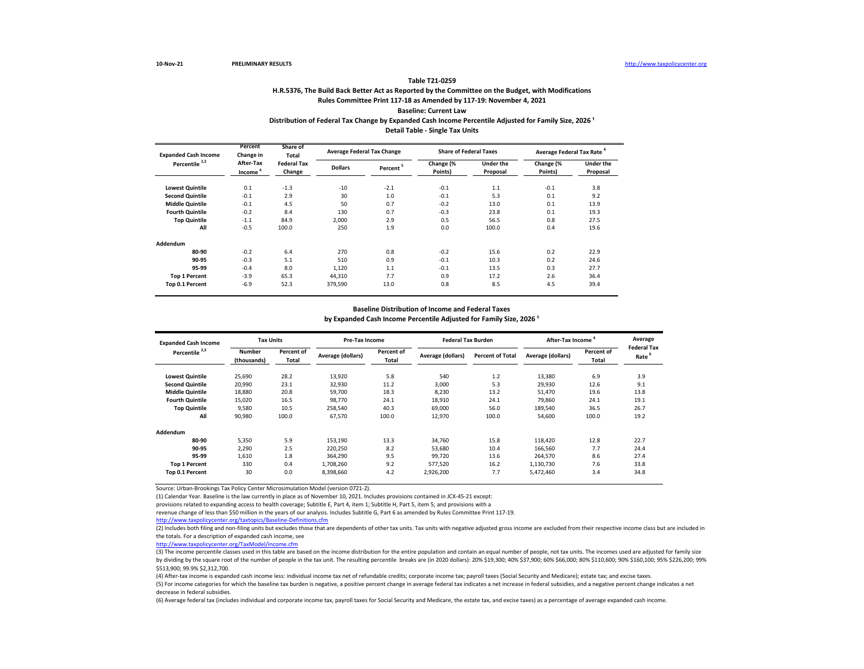## **H.R.5376, The Build Back Better Act as Reported by the Committee on the Budget, with Modifications Rules Committee Print 117-18 as Amended by 117-19: November 4, 2021 Baseline: Current Law Distribution of Federal Tax Change by Expanded Cash Income Percentile Adjusted for Family Size, 2026 ¹ Detail Table - Single Tax Units**

| <b>Expanded Cash Income</b> | Percent<br>Change in             | Share of<br>Total            |                | <b>Average Federal Tax Change</b> | <b>Share of Federal Taxes</b> |                       | Average Federal Tax Rate <sup>6</sup> |                       |  |
|-----------------------------|----------------------------------|------------------------------|----------------|-----------------------------------|-------------------------------|-----------------------|---------------------------------------|-----------------------|--|
| Percentile <sup>2,3</sup>   | After-Tax<br>Income <sup>4</sup> | <b>Federal Tax</b><br>Change | <b>Dollars</b> | Percent <sup>5</sup>              | Change (%<br>Points)          | Under the<br>Proposal | Change (%<br>Points)                  | Under the<br>Proposal |  |
| <b>Lowest Quintile</b>      | 0.1                              | $-1.3$                       | $-10$          | $-2.1$                            | $-0.1$                        | 1.1                   | $-0.1$                                | 3.8                   |  |
| <b>Second Quintile</b>      | $-0.1$                           | 2.9                          | 30             | 1.0                               | $-0.1$                        | 5.3                   | 0.1                                   | 9.2                   |  |
| <b>Middle Quintile</b>      | $-0.1$                           | 4.5                          | 50             | 0.7                               | $-0.2$                        | 13.0                  | 0.1                                   | 13.9                  |  |
| <b>Fourth Quintile</b>      | $-0.2$                           | 8.4                          | 130            | 0.7                               | $-0.3$                        | 23.8                  | 0.1                                   | 19.3                  |  |
| <b>Top Quintile</b>         | $-1.1$                           | 84.9                         | 2.000          | 2.9                               | 0.5                           | 56.5                  | 0.8                                   | 27.5                  |  |
| All                         | $-0.5$                           | 100.0                        | 250            | 1.9                               | 0.0                           | 100.0                 | 0.4                                   | 19.6                  |  |
| Addendum                    |                                  |                              |                |                                   |                               |                       |                                       |                       |  |
| 80-90                       | $-0.2$                           | 6.4                          | 270            | 0.8                               | $-0.2$                        | 15.6                  | 0.2                                   | 22.9                  |  |
| 90-95                       | $-0.3$                           | 5.1                          | 510            | 0.9                               | $-0.1$                        | 10.3                  | 0.2                                   | 24.6                  |  |
| 95-99                       | $-0.4$                           | 8.0                          | 1,120          | 1.1                               | $-0.1$                        | 13.5                  | 0.3                                   | 27.7                  |  |
| <b>Top 1 Percent</b>        | $-3.9$                           | 65.3                         | 44,310         | 7.7                               | 0.9                           | 17.2                  | 2.6                                   | 36.4                  |  |
| Top 0.1 Percent             | $-6.9$                           | 52.3                         | 379,590        | 13.0                              | 0.8                           | 8.5                   | 4.5                                   | 39.4                  |  |

## **Baseline Distribution of Income and Federal Taxes** by Expanded Cash Income Percentile Adjusted for Family Size, 2026<sup>1</sup>

| <b>Expanded Cash Income</b> | <b>Tax Units</b>      |                     | <b>Pre-Tax Income</b> |                     | <b>Federal Tax Burden</b> |                         | After-Tax Income <sup>4</sup> | Average             |                            |
|-----------------------------|-----------------------|---------------------|-----------------------|---------------------|---------------------------|-------------------------|-------------------------------|---------------------|----------------------------|
| Percentile <sup>2,3</sup>   | Number<br>(thousands) | Percent of<br>Total | Average (dollars)     | Percent of<br>Total | Average (dollars)         | <b>Percent of Total</b> | Average (dollars)             | Percent of<br>Total | <b>Federal Tax</b><br>Rate |
| <b>Lowest Quintile</b>      | 25,690                | 28.2                | 13,920                | 5.8                 | 540                       | 1.2                     | 13,380                        | 6.9                 | 3.9                        |
| <b>Second Quintile</b>      | 20,990                | 23.1                | 32,930                | 11.2                | 3,000                     | 5.3                     | 29,930                        | 12.6                | 9.1                        |
| <b>Middle Quintile</b>      | 18,880                | 20.8                | 59,700                | 18.3                | 8,230                     | 13.2                    | 51,470                        | 19.6                | 13.8                       |
| <b>Fourth Quintile</b>      | 15,020                | 16.5                | 98.770                | 24.1                | 18,910                    | 24.1                    | 79,860                        | 24.1                | 19.1                       |
| <b>Top Quintile</b>         | 9,580                 | 10.5                | 258,540               | 40.3                | 69,000                    | 56.0                    | 189,540                       | 36.5                | 26.7                       |
| All                         | 90,980                | 100.0               | 67,570                | 100.0               | 12,970                    | 100.0                   | 54,600                        | 100.0               | 19.2                       |
| Addendum                    |                       |                     |                       |                     |                           |                         |                               |                     |                            |
| 80-90                       | 5,350                 | 5.9                 | 153,190               | 13.3                | 34,760                    | 15.8                    | 118,420                       | 12.8                | 22.7                       |
| 90-95                       | 2,290                 | 2.5                 | 220,250               | 8.2                 | 53,680                    | 10.4                    | 166,560                       | 7.7                 | 24.4                       |
| 95-99                       | 1,610                 | 1.8                 | 364,290               | 9.5                 | 99,720                    | 13.6                    | 264,570                       | 8.6                 | 27.4                       |
| <b>Top 1 Percent</b>        | 330                   | 0.4                 | 1,708,260             | 9.2                 | 577,520                   | 16.2                    | 1,130,730                     | 7.6                 | 33.8                       |
| Top 0.1 Percent             | 30                    | 0.0                 | 8,398,660             | 4.2                 | 2,926,200                 | 7.7                     | 5,472,460                     | 3.4                 | 34.8                       |

Source: Urban-Brookings Tax Policy Center Microsimulation Model (version 0721-2).

(1) Calendar Year. Baseline is the law currently in place as of November 10, 2021. Includes provisions contained in JCX-45-21 except:

provisions related to expanding access to health coverage; Subtitle E, Part 4, item 1; Subtitle H, Part 5, item 5; and provisions with a

revenue change of less than \$50 million in the years of our analysis. Includes Subtitle G, Part 6 as amended by Rules Committee Print 117-19.

<http://www.taxpolicycenter.org/taxtopics/Baseline-Definitions.cfm>

(2) Includes both filing and non-filing units but excludes those that are dependents of other tax units. Tax units with negative adjusted gross income are excluded from their respective income class but are included in the totals. For a description of expanded cash income, see

[http://www.taxpolicycente](http://www.taxpolicycenter.org/TaxModel/income.cfm)r.org/TaxModel/income.cfm

(3) The income percentile classes used in this table are based on the income distribution for the entire population and contain an equal number of people, not tax units. The incomes used are adjusted for family size by dividing by the square root of the number of people in the tax unit. The resulting percentile breaks are (in 2020 dollars): 20% \$19,300; 40% \$37,900; 60% \$66,000; 80% \$110,600; 90% \$160,100; 95% \$226,200; 99% \$513,900; 99.9% \$2,312,700.

(4) After-tax income is expanded cash income less: individual income tax net of refundable credits; corporate income tax; payroll taxes (Social Security and Medicare); estate tax; and excise taxes.

(5) For income categories for which the baseline tax burden is negative, a positive percent change in average federal tax indicates a net increase in federal subsidies, and a negative percent change indicates a net decrease in federal subsidies.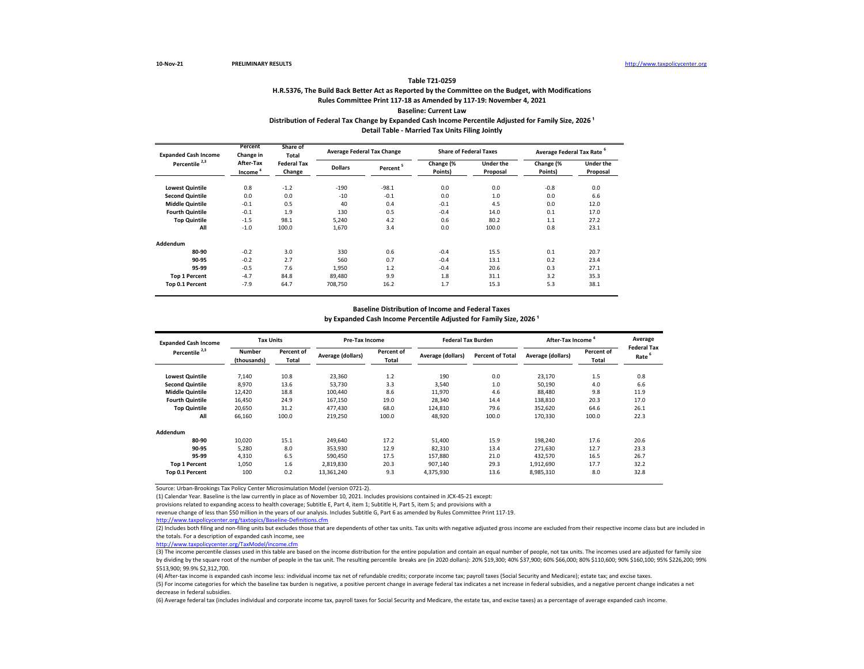## **H.R.5376, The Build Back Better Act as Reported by the Committee on the Budget, with Modifications Rules Committee Print 117-18 as Amended by 117-19: November 4, 2021 Baseline: Current Law Distribution of Federal Tax Change by Expanded Cash Income Percentile Adjusted for Family Size, 2026 ¹ Detail Table - Married Tax Units Filing Jointly**

| <b>Expanded Cash Income</b> | Percent<br>Change in             | Share of<br>Total            |                | <b>Average Federal Tax Change</b> | <b>Share of Federal Taxes</b> |                       | Average Federal Tax Rate <sup>6</sup> |                              |
|-----------------------------|----------------------------------|------------------------------|----------------|-----------------------------------|-------------------------------|-----------------------|---------------------------------------|------------------------------|
| Percentile <sup>2,3</sup>   | After-Tax<br>Income <sup>4</sup> | <b>Federal Tax</b><br>Change | <b>Dollars</b> | Percent <sup>5</sup>              | Change (%<br>Points)          | Under the<br>Proposal | Change (%<br>Points)                  | <b>Under the</b><br>Proposal |
| <b>Lowest Quintile</b>      | 0.8                              | $-1.2$                       | $-190$         | $-98.1$                           | 0.0                           | 0.0                   | $-0.8$                                | 0.0                          |
| <b>Second Quintile</b>      | 0.0                              | 0.0                          | $-10$          | $-0.1$                            | 0.0                           | 1.0                   | 0.0                                   | 6.6                          |
| <b>Middle Quintile</b>      | $-0.1$                           | 0.5                          | 40             | 0.4                               | $-0.1$                        | 4.5                   | 0.0                                   | 12.0                         |
| <b>Fourth Quintile</b>      | $-0.1$                           | 1.9                          | 130            | 0.5                               | $-0.4$                        | 14.0                  | 0.1                                   | 17.0                         |
| <b>Top Quintile</b>         | $-1.5$                           | 98.1                         | 5.240          | 4.2                               | 0.6                           | 80.2                  | 1.1                                   | 27.2                         |
| All                         | $-1.0$                           | 100.0                        | 1,670          | 3.4                               | 0.0                           | 100.0                 | 0.8                                   | 23.1                         |
| Addendum                    |                                  |                              |                |                                   |                               |                       |                                       |                              |
| 80-90                       | $-0.2$                           | 3.0                          | 330            | 0.6                               | $-0.4$                        | 15.5                  | 0.1                                   | 20.7                         |
| 90-95                       | $-0.2$                           | 2.7                          | 560            | 0.7                               | $-0.4$                        | 13.1                  | 0.2                                   | 23.4                         |
| 95-99                       | $-0.5$                           | 7.6                          | 1.950          | 1.2                               | $-0.4$                        | 20.6                  | 0.3                                   | 27.1                         |
| <b>Top 1 Percent</b>        | $-4.7$                           | 84.8                         | 89,480         | 9.9                               | 1.8                           | 31.1                  | 3.2                                   | 35.3                         |
| Top 0.1 Percent             | $-7.9$                           | 64.7                         | 708,750        | 16.2                              | 1.7                           | 15.3                  | 5.3                                   | 38.1                         |

## **Baseline Distribution of Income and Federal Taxes** by Expanded Cash Income Percentile Adjusted for Family Size, 2026<sup>1</sup>

| <b>Expanded Cash Income</b> | <b>Tax Units</b>      |                     | Pre-Tax Income    |                            | <b>Federal Tax Burden</b> |                         | After-Tax Income <sup>4</sup> | Average<br><b>Federal Tax</b> |                   |
|-----------------------------|-----------------------|---------------------|-------------------|----------------------------|---------------------------|-------------------------|-------------------------------|-------------------------------|-------------------|
| Percentile <sup>2,3</sup>   | Number<br>(thousands) | Percent of<br>Total | Average (dollars) | Percent of<br><b>Total</b> | Average (dollars)         | <b>Percent of Total</b> | Average (dollars)             | Percent of<br>Total           | Rate <sup>5</sup> |
| <b>Lowest Quintile</b>      | 7,140                 | 10.8                | 23,360            | 1.2                        | 190                       | 0.0                     | 23,170                        | 1.5                           | 0.8               |
| <b>Second Quintile</b>      | 8,970                 | 13.6                | 53,730            | 3.3                        | 3,540                     | 1.0                     | 50,190                        | 4.0                           | 6.6               |
| <b>Middle Quintile</b>      | 12,420                | 18.8                | 100.440           | 8.6                        | 11.970                    | 4.6                     | 88.480                        | 9.8                           | 11.9              |
| <b>Fourth Quintile</b>      | 16,450                | 24.9                | 167.150           | 19.0                       | 28.340                    | 14.4                    | 138.810                       | 20.3                          | 17.0              |
| <b>Top Quintile</b>         | 20,650                | 31.2                | 477.430           | 68.0                       | 124.810                   | 79.6                    | 352,620                       | 64.6                          | 26.1              |
| All                         | 66,160                | 100.0               | 219,250           | 100.0                      | 48,920                    | 100.0                   | 170,330                       | 100.0                         | 22.3              |
| Addendum                    |                       |                     |                   |                            |                           |                         |                               |                               |                   |
| 80-90                       | 10,020                | 15.1                | 249,640           | 17.2                       | 51,400                    | 15.9                    | 198,240                       | 17.6                          | 20.6              |
| 90-95                       | 5.280                 | 8.0                 | 353.930           | 12.9                       | 82,310                    | 13.4                    | 271.630                       | 12.7                          | 23.3              |
| 95-99                       | 4,310                 | 6.5                 | 590.450           | 17.5                       | 157.880                   | 21.0                    | 432,570                       | 16.5                          | 26.7              |
| <b>Top 1 Percent</b>        | 1,050                 | 1.6                 | 2,819,830         | 20.3                       | 907.140                   | 29.3                    | 1,912,690                     | 17.7                          | 32.2              |
| Top 0.1 Percent             | 100                   | 0.2                 | 13,361,240        | 9.3                        | 4,375,930                 | 13.6                    | 8,985,310                     | 8.0                           | 32.8              |

Source: Urban-Brookings Tax Policy Center Microsimulation Model (version 0721-2).

(1) Calendar Year. Baseline is the law currently in place as of November 10, 2021. Includes provisions contained in JCX-45-21 except:

provisions related to expanding access to health coverage; Subtitle E, Part 4, item 1; Subtitle H, Part 5, item 5; and provisions with a

revenue change of less than \$50 million in the years of our analysis. Includes Subtitle G, Part 6 as amended by Rules Committee Print 117-19.

<http://www.taxpolicycenter.org/taxtopics/Baseline-Definitions.cfm>

(2) Includes both filing and non-filing units but excludes those that are dependents of other tax units. Tax units with negative adjusted gross income are excluded from their respective income class but are included in the totals. For a description of expanded cash income, see

[http://www.taxpolicycente](http://www.taxpolicycenter.org/TaxModel/income.cfm)r.org/TaxModel/income.cfm

(3) The income percentile classes used in this table are based on the income distribution for the entire population and contain an equal number of people, not tax units. The incomes used are adjusted for family size by dividing by the square root of the number of people in the tax unit. The resulting percentile breaks are (in 2020 dollars): 20% \$19,300; 40% \$37,900; 60% \$66,000; 80% \$110,600; 90% \$160,100; 95% \$226,200; 99% \$513,900; 99.9% \$2,312,700.

(4) After-tax income is expanded cash income less: individual income tax net of refundable credits; corporate income tax; payroll taxes (Social Security and Medicare); estate tax; and excise taxes.

(5) For income categories for which the baseline tax burden is negative, a positive percent change in average federal tax indicates a net increase in federal subsidies, and a negative percent change indicates a net decrease in federal subsidies.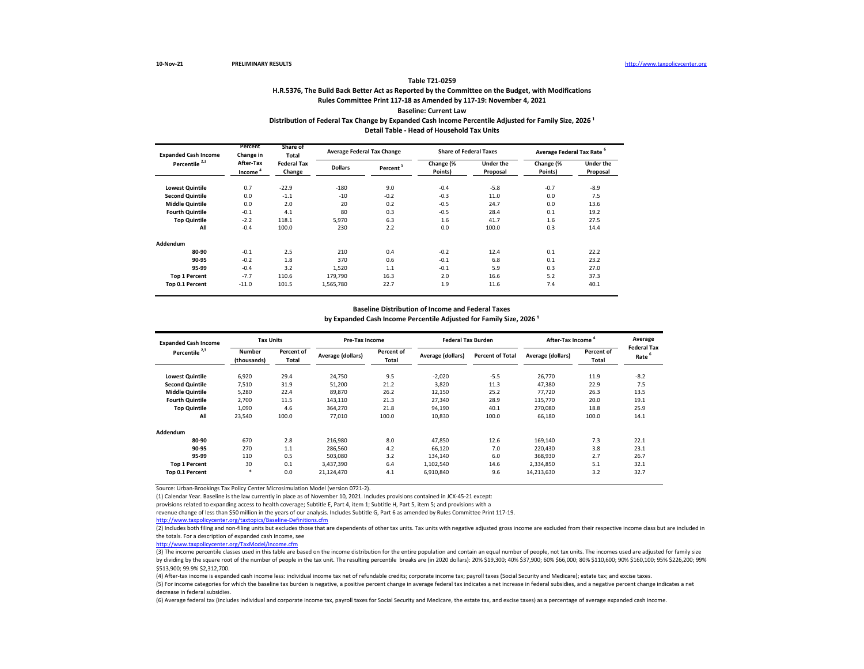## **H.R.5376, The Build Back Better Act as Reported by the Committee on the Budget, with Modifications Rules Committee Print 117-18 as Amended by 117-19: November 4, 2021 Baseline: Current Law Distribution of Federal Tax Change by Expanded Cash Income Percentile Adjusted for Family Size, 2026 ¹ Detail Table - Head of Household Tax Units**

| <b>Expanded Cash Income</b> | Percent<br>Change in             | Share of<br>Total            |                | <b>Average Federal Tax Change</b> | <b>Share of Federal Taxes</b> |                       | Average Federal Tax Rate <sup>6</sup> |                       |
|-----------------------------|----------------------------------|------------------------------|----------------|-----------------------------------|-------------------------------|-----------------------|---------------------------------------|-----------------------|
| Percentile <sup>2,3</sup>   | After-Tax<br>Income <sup>4</sup> | <b>Federal Tax</b><br>Change | <b>Dollars</b> | Percent <sup>5</sup>              | Change (%<br>Points)          | Under the<br>Proposal | Change (%<br>Points)                  | Under the<br>Proposal |
| <b>Lowest Quintile</b>      | 0.7                              | $-22.9$                      | $-180$         | 9.0                               | $-0.4$                        | $-5.8$                | $-0.7$                                | $-8.9$                |
| <b>Second Quintile</b>      | 0.0                              | $-1.1$                       | $-10$          | $-0.2$                            | $-0.3$                        | 11.0                  | 0.0                                   | 7.5                   |
| <b>Middle Quintile</b>      | 0.0                              | 2.0                          | 20             | 0.2                               | $-0.5$                        | 24.7                  | 0.0                                   | 13.6                  |
| <b>Fourth Quintile</b>      | $-0.1$                           | 4.1                          | 80             | 0.3                               | $-0.5$                        | 28.4                  | 0.1                                   | 19.2                  |
| <b>Top Quintile</b>         | $-2.2$                           | 118.1                        | 5.970          | 6.3                               | 1.6                           | 41.7                  | 1.6                                   | 27.5                  |
| All                         | $-0.4$                           | 100.0                        | 230            | 2.2                               | 0.0                           | 100.0                 | 0.3                                   | 14.4                  |
| Addendum                    |                                  |                              |                |                                   |                               |                       |                                       |                       |
| 80-90                       | $-0.1$                           | 2.5                          | 210            | 0.4                               | $-0.2$                        | 12.4                  | 0.1                                   | 22.2                  |
| 90-95                       | $-0.2$                           | 1.8                          | 370            | 0.6                               | $-0.1$                        | 6.8                   | 0.1                                   | 23.2                  |
| 95-99                       | $-0.4$                           | 3.2                          | 1.520          | 1.1                               | $-0.1$                        | 5.9                   | 0.3                                   | 27.0                  |
| <b>Top 1 Percent</b>        | $-7.7$                           | 110.6                        | 179,790        | 16.3                              | 2.0                           | 16.6                  | 5.2                                   | 37.3                  |
| Top 0.1 Percent             | $-11.0$                          | 101.5                        | 1,565,780      | 22.7                              | 1.9                           | 11.6                  | 7.4                                   | 40.1                  |

## **Baseline Distribution of Income and Federal Taxes** by Expanded Cash Income Percentile Adjusted for Family Size, 2026<sup>1</sup>

| <b>Expanded Cash Income</b> | <b>Tax Units</b>             |                     | Pre-Tax Income    |                     | <b>Federal Tax Burden</b> |                         | After-Tax Income  |                     | Average<br><b>Federal Tax</b> |
|-----------------------------|------------------------------|---------------------|-------------------|---------------------|---------------------------|-------------------------|-------------------|---------------------|-------------------------------|
| Percentile <sup>2,3</sup>   | <b>Number</b><br>(thousands) | Percent of<br>Total | Average (dollars) | Percent of<br>Total | Average (dollars)         | <b>Percent of Total</b> | Average (dollars) | Percent of<br>Total | Rate                          |
| <b>Lowest Quintile</b>      | 6,920                        | 29.4                | 24,750            | 9.5                 | $-2,020$                  | $-5.5$                  | 26,770            | 11.9                | $-8.2$                        |
| <b>Second Quintile</b>      | 7.510                        | 31.9                | 51,200            | 21.2                | 3.820                     | 11.3                    | 47,380            | 22.9                | 7.5                           |
| <b>Middle Quintile</b>      | 5,280                        | 22.4                | 89,870            | 26.2                | 12,150                    | 25.2                    | 77,720            | 26.3                | 13.5                          |
| <b>Fourth Quintile</b>      | 2.700                        | 11.5                | 143,110           | 21.3                | 27,340                    | 28.9                    | 115,770           | 20.0                | 19.1                          |
| <b>Top Quintile</b>         | 1,090                        | 4.6                 | 364,270           | 21.8                | 94,190                    | 40.1                    | 270,080           | 18.8                | 25.9                          |
| All                         | 23,540                       | 100.0               | 77,010            | 100.0               | 10,830                    | 100.0                   | 66,180            | 100.0               | 14.1                          |
| Addendum                    |                              |                     |                   |                     |                           |                         |                   |                     |                               |
| 80-90                       | 670                          | 2.8                 | 216,980           | 8.0                 | 47,850                    | 12.6                    | 169,140           | 7.3                 | 22.1                          |
| 90-95                       | 270                          | 1.1                 | 286,560           | 4.2                 | 66,120                    | 7.0                     | 220.430           | 3.8                 | 23.1                          |
| 95-99                       | 110                          | 0.5                 | 503.080           | 3.2                 | 134.140                   | 6.0                     | 368.930           | 2.7                 | 26.7                          |
| <b>Top 1 Percent</b>        | 30                           | 0.1                 | 3.437.390         | 6.4                 | 1,102,540                 | 14.6                    | 2.334.850         | 5.1                 | 32.1                          |
| Top 0.1 Percent             | $\ast$                       | 0.0                 | 21,124,470        | 4.1                 | 6,910,840                 | 9.6                     | 14,213,630        | 3.2                 | 32.7                          |

Source: Urban-Brookings Tax Policy Center Microsimulation Model (version 0721-2).

(1) Calendar Year. Baseline is the law currently in place as of November 10, 2021. Includes provisions contained in JCX-45-21 except:

provisions related to expanding access to health coverage; Subtitle E, Part 4, item 1; Subtitle H, Part 5, item 5; and provisions with a

revenue change of less than \$50 million in the years of our analysis. Includes Subtitle G, Part 6 as amended by Rules Committee Print 117-19.

<http://www.taxpolicycenter.org/taxtopics/Baseline-Definitions.cfm>

(2) Includes both filing and non-filing units but excludes those that are dependents of other tax units. Tax units with negative adjusted gross income are excluded from their respective income class but are included in the totals. For a description of expanded cash income, see

[http://www.taxpolicycente](http://www.taxpolicycenter.org/TaxModel/income.cfm)r.org/TaxModel/income.cfm

(3) The income percentile classes used in this table are based on the income distribution for the entire population and contain an equal number of people, not tax units. The incomes used are adjusted for family size by dividing by the square root of the number of people in the tax unit. The resulting percentile breaks are (in 2020 dollars): 20% \$19,300; 40% \$37,900; 60% \$66,000; 80% \$110,600; 90% \$160,100; 95% \$226,200; 99% \$513,900; 99.9% \$2,312,700.

(4) After-tax income is expanded cash income less: individual income tax net of refundable credits; corporate income tax; payroll taxes (Social Security and Medicare); estate tax; and excise taxes.

(5) For income categories for which the baseline tax burden is negative, a positive percent change in average federal tax indicates a net increase in federal subsidies, and a negative percent change indicates a net decrease in federal subsidies.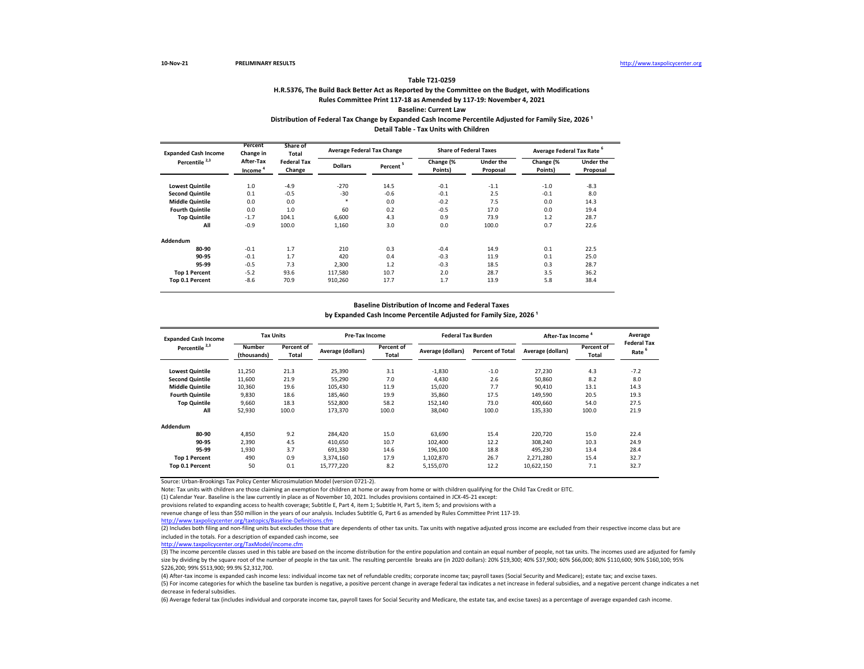## **H.R.5376, The Build Back Better Act as Reported by the Committee on the Budget, with Modifications Rules Committee Print 117-18 as Amended by 117-19: November 4, 2021 Baseline: Current Law** Distribution of Federal Tax Change by Expanded Cash Income Percentile Adjusted for Family Size, 2026<sup>1</sup>

**Detail Table - Tax Units with Children**

| <b>Expanded Cash Income</b> | Percent<br>Change in                                             | Share of<br>Total |                | <b>Average Federal Tax Change</b> | <b>Share of Federal Taxes</b> |                       | Average Federal Tax Rate <sup>6</sup> |                       |
|-----------------------------|------------------------------------------------------------------|-------------------|----------------|-----------------------------------|-------------------------------|-----------------------|---------------------------------------|-----------------------|
| Percentile <sup>2,3</sup>   | After-Tax<br><b>Federal Tax</b><br>Change<br>Income <sup>1</sup> |                   | <b>Dollars</b> | Percent <sup>5</sup>              | Change $\sqrt{8}$<br>Points)  | Under the<br>Proposal | Change (%<br>Points)                  | Under the<br>Proposal |
| <b>Lowest Quintile</b>      | 1.0                                                              | $-4.9$            | $-270$         | 14.5                              | $-0.1$                        | $-1.1$                | $-1.0$                                | $-8.3$                |
| <b>Second Quintile</b>      | 0.1                                                              | $-0.5$            | $-30$          | $-0.6$                            | $-0.1$                        | 2.5                   | $-0.1$                                | 8.0                   |
| <b>Middle Quintile</b>      | 0.0                                                              | 0.0               | $\ast$         | 0.0                               | $-0.2$                        | 7.5                   | 0.0                                   | 14.3                  |
| <b>Fourth Quintile</b>      | 0.0                                                              | 1.0               | 60             | 0.2                               | $-0.5$                        | 17.0                  | 0.0                                   | 19.4                  |
| <b>Top Quintile</b>         | $-1.7$                                                           | 104.1             | 6.600          | 4.3                               | 0.9                           | 73.9                  | 1.2                                   | 28.7                  |
| All                         | $-0.9$                                                           | 100.0             | 1,160          | 3.0                               | 0.0                           | 100.0                 | 0.7                                   | 22.6                  |
| Addendum                    |                                                                  |                   |                |                                   |                               |                       |                                       |                       |
| 80-90                       | $-0.1$                                                           | 1.7               | 210            | 0.3                               | $-0.4$                        | 14.9                  | 0.1                                   | 22.5                  |
| 90-95                       | $-0.1$                                                           | 1.7               | 420            | 0.4                               | $-0.3$                        | 11.9                  | 0.1                                   | 25.0                  |
| 95-99                       | $-0.5$                                                           | 7.3               | 2,300          | 1.2                               | $-0.3$                        | 18.5                  | 0.3                                   | 28.7                  |
| <b>Top 1 Percent</b>        | $-5.2$                                                           | 93.6              | 117,580        | 10.7                              | 2.0                           | 28.7                  | 3.5                                   | 36.2                  |
| Top 0.1 Percent             | $-8.6$                                                           | 70.9              | 910,260        | 17.7                              | 1.7                           | 13.9                  | 5.8                                   | 38.4                  |

### **Baseline Distribution of Income and Federal Taxes**

by Expanded Cash Income Percentile Adjusted for Family Size, 2026<sup>1</sup>

| <b>Expanded Cash Income</b><br>Percentile <sup>2,3</sup> | <b>Tax Units</b>      |                     | <b>Pre-Tax Income</b> |                            | <b>Federal Tax Burden</b> |                         | After-Tax Income  |                     | Average<br><b>Federal Tax</b> |
|----------------------------------------------------------|-----------------------|---------------------|-----------------------|----------------------------|---------------------------|-------------------------|-------------------|---------------------|-------------------------------|
|                                                          | Number<br>(thousands) | Percent of<br>Total | Average (dollars)     | Percent of<br><b>Total</b> | Average (dollars)         | <b>Percent of Total</b> | Average (dollars) | Percent of<br>Total | Rate                          |
| <b>Lowest Quintile</b>                                   | 11,250                | 21.3                | 25,390                | 3.1                        | $-1.830$                  | $-1.0$                  | 27,230            | 4.3                 | $-7.2$                        |
| <b>Second Quintile</b>                                   | 11,600                | 21.9                | 55,290                | 7.0                        | 4.430                     | 2.6                     | 50,860            | 8.2                 | 8.0                           |
| <b>Middle Quintile</b>                                   | 10,360                | 19.6                | 105.430               | 11.9                       | 15.020                    | 7.7                     | 90,410            | 13.1                | 14.3                          |
| <b>Fourth Quintile</b>                                   | 9,830                 | 18.6                | 185,460               | 19.9                       | 35.860                    | 17.5                    | 149,590           | 20.5                | 19.3                          |
| <b>Top Quintile</b>                                      | 9,660                 | 18.3                | 552,800               | 58.2                       | 152.140                   | 73.0                    | 400.660           | 54.0                | 27.5                          |
| All                                                      | 52,930                | 100.0               | 173,370               | 100.0                      | 38.040                    | 100.0                   | 135,330           | 100.0               | 21.9                          |
| Addendum                                                 |                       |                     |                       |                            |                           |                         |                   |                     |                               |
| 80-90                                                    | 4.850                 | 9.2                 | 284.420               | 15.0                       | 63.690                    | 15.4                    | 220.720           | 15.0                | 22.4                          |
| 90-95                                                    | 2.390                 | 4.5                 | 410.650               | 10.7                       | 102.400                   | 12.2                    | 308.240           | 10.3                | 24.9                          |
| 95-99                                                    | 1.930                 | 3.7                 | 691.330               | 14.6                       | 196.100                   | 18.8                    | 495.230           | 13.4                | 28.4                          |
| <b>Top 1 Percent</b>                                     | 490                   | 0.9                 | 3,374,160             | 17.9                       | 1,102,870                 | 26.7                    | 2.271.280         | 15.4                | 32.7                          |
| Top 0.1 Percent                                          | 50                    | 0.1                 | 15,777,220            | 8.2                        | 5,155,070                 | 12.2                    | 10,622,150        | 7.1                 | 32.7                          |

Source: Urban-Brookings Tax Policy Center Microsimulation Model (version 0721-2).

Note: Tax units with children are those claiming an exemption for children at home or away from home or with children qualifying for the Child Tax Credit or EITC.

(1) Calendar Year. Baseline is the law currently in place as of November 10, 2021. Includes provisions contained in JCX-45-21 except:

provisions related to expanding access to health coverage; Subtitle E, Part 4, item 1; Subtitle H, Part 5, item 5; and provisions with a

revenue change of less than \$50 million in the years of our analysis. Includes Subtitle G, Part 6 as amended by Rules Committee Print 117-19.

<http://www.taxpolicycenter.org/taxtopics/Baseline-Definitions.cfm>

(2) Includes both filing and non-filing units but excludes those that are dependents of other tax units. Tax units with negative adjusted gross income are excluded from their respective income class but are included in the totals. For a description of expanded cash income, see

[http://www.taxpolicycente](http://www.taxpolicycenter.org/TaxModel/income.cfm)r.org/TaxModel/income.cfm

(3) The income percentile classes used in this table are based on the income distribution for the entire population and contain an equal number of people, not tax units. The incomes used are adjusted for family size by dividing by the square root of the number of people in the tax unit. The resulting percentile breaks are (in 2020 dollars): 20% \$19,300; 40% \$37,900; 60% \$66,000; 80% \$110,600; 90% \$160,100; 90% \$160,100; 95% \$226,200; 99% \$513,900; 99.9% \$2,312,700.

(4) After-tax income is expanded cash income less: individual income tax net of refundable credits; corporate income tax; payroll taxes (Social Security and Medicare); estate tax; and excise taxes. (5) For income categories for which the baseline tax burden is negative, a positive percent change in average federal tax indicates a net increase in federal subsidies, and a negative percent change indicates a net decrease in federal subsidies.